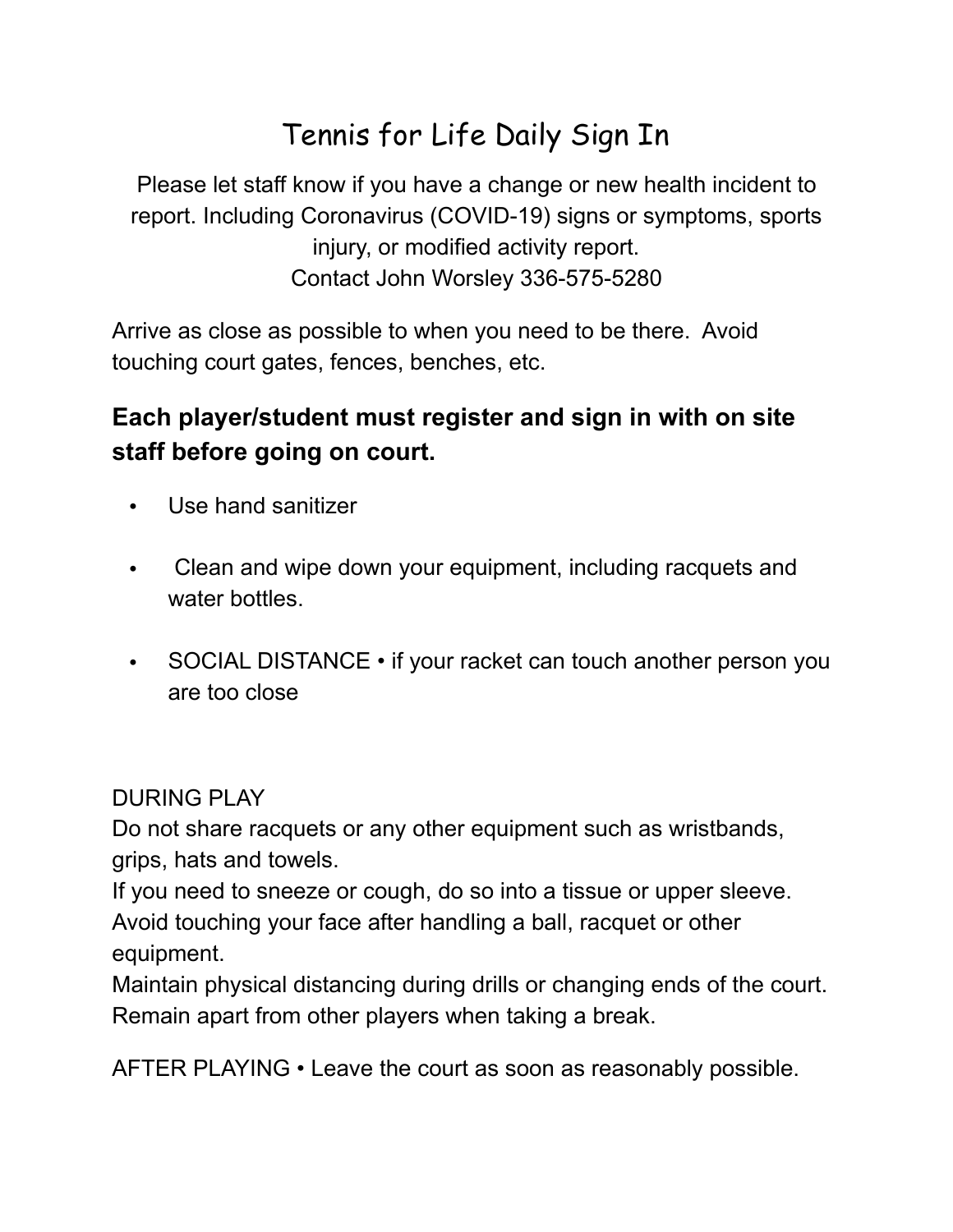## Tennis for Life Daily Sign In

Please let staff know if you have a change or new health incident to report. Including Coronavirus (COVID-19) signs or symptoms, sports injury, or modified activity report. Contact John Worsley 336-575-5280

Arrive as close as possible to when you need to be there. Avoid touching court gates, fences, benches, etc.

## **Each player/student must register and sign in with on site staff before going on court.**

- Use hand sanitizer
- Clean and wipe down your equipment, including racquets and water bottles.
- SOCIAL DISTANCE if your racket can touch another person you are too close

## DURING PLAY

Do not share racquets or any other equipment such as wristbands, grips, hats and towels.

If you need to sneeze or cough, do so into a tissue or upper sleeve. Avoid touching your face after handling a ball, racquet or other equipment.

Maintain physical distancing during drills or changing ends of the court. Remain apart from other players when taking a break.

AFTER PLAYING • Leave the court as soon as reasonably possible.